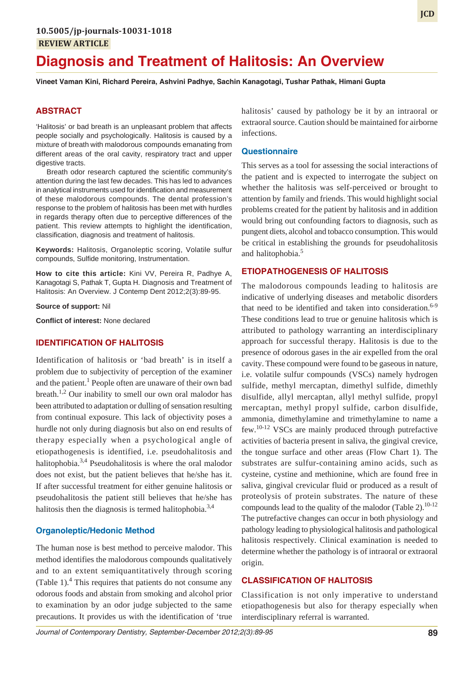# **Diagnosis and Treatment of Halitosis: An Overview**

**Vineet Vaman Kini, Richard Pereira, Ashvini Padhye, Sachin Kanagotagi, Tushar Pathak, Himani Gupta**

## **ABSTRACT**

'Halitosis' or bad breath is an unpleasant problem that affects people socially and psychologically. Halitosis is caused by a mixture of breath with malodorous compounds emanating from different areas of the oral cavity, respiratory tract and upper digestive tracts.

Breath odor research captured the scientific community's attention during the last few decades. This has led to advances in analytical instruments used for identification and measurement of these malodorous compounds. The dental profession's response to the problem of halitosis has been met with hurdles in regards therapy often due to perceptive differences of the patient. This review attempts to highlight the identification, classification, diagnosis and treatment of halitosis.

**Keywords:** Halitosis, Organoleptic scoring, Volatile sulfur compounds, Sulfide monitoring, Instrumentation.

**How to cite this article:** Kini VV, Pereira R, Padhye A, Kanagotagi S, Pathak T, Gupta H. Diagnosis and Treatment of Halitosis: An Overview. J Contemp Dent 2012;2(3):89-95.

**Source of support:** Nil

**Conflict of interest:** None declared

## **IDENTIFICATION OF HALITOSIS**

Identification of halitosis or 'bad breath' is in itself a problem due to subjectivity of perception of the examiner and the patient.<sup>1</sup> People often are unaware of their own bad breath.<sup>1,2</sup> Our inability to smell our own oral malodor has been attributed to adaptation or dulling of sensation resulting from continual exposure. This lack of objectivity poses a hurdle not only during diagnosis but also on end results of therapy especially when a psychological angle of etiopathogenesis is identified, i.e. pseudohalitosis and halitophobia.<sup>3,4</sup> Pseudohalitosis is where the oral malodor does not exist, but the patient believes that he/she has it. If after successful treatment for either genuine halitosis or pseudohalitosis the patient still believes that he/she has halitosis then the diagnosis is termed halitophobia.<sup>3,4</sup>

## **Organoleptic/Hedonic Method**

The human nose is best method to perceive malodor. This method identifies the malodorous compounds qualitatively and to an extent semiquantitatively through scoring (Table 1).<sup>4</sup> This requires that patients do not consume any odorous foods and abstain from smoking and alcohol prior to examination by an odor judge subjected to the same precautions. It provides us with the identification of 'true

halitosis' caused by pathology be it by an intraoral or extraoral source. Caution should be maintained for airborne infections.

#### **Questionnaire**

This serves as a tool for assessing the social interactions of the patient and is expected to interrogate the subject on whether the halitosis was self-perceived or brought to attention by family and friends. This would highlight social problems created for the patient by halitosis and in addition would bring out confounding factors to diagnosis, such as pungent diets, alcohol and tobacco consumption. This would be critical in establishing the grounds for pseudohalitosis and halitophobia.<sup>5</sup>

## **ETIOPATHOGENESIS OF HALITOSIS**

The malodorous compounds leading to halitosis are indicative of underlying diseases and metabolic disorders that need to be identified and taken into consideration. $6-9$ These conditions lead to true or genuine halitosis which is attributed to pathology warranting an interdisciplinary approach for successful therapy. Halitosis is due to the presence of odorous gases in the air expelled from the oral cavity. These compound were found to be gaseous in nature, i.e. volatile sulfur compounds (VSCs) namely hydrogen sulfide, methyl mercaptan, dimethyl sulfide, dimethly disulfide, allyl mercaptan, allyl methyl sulfide, propyl mercaptan, methyl propyl sulfide, carbon disulfide, ammonia, dimethylamine and trimethylamine to name a few.10-12 VSCs are mainly produced through putrefactive activities of bacteria present in saliva, the gingival crevice, the tongue surface and other areas (Flow Chart 1). The substrates are sulfur-containing amino acids, such as cysteine, cystine and methionine, which are found free in saliva, gingival crevicular fluid or produced as a result of proteolysis of protein substrates. The nature of these compounds lead to the quality of the malodor (Table 2).  $10-12$ The putrefactive changes can occur in both physiology and pathology leading to physiological halitosis and pathological halitosis respectively. Clinical examination is needed to determine whether the pathology is of intraoral or extraoral origin.

## **CLASSIFICATION OF HALITOSIS**

Classification is not only imperative to understand etiopathogenesis but also for therapy especially when interdisciplinary referral is warranted.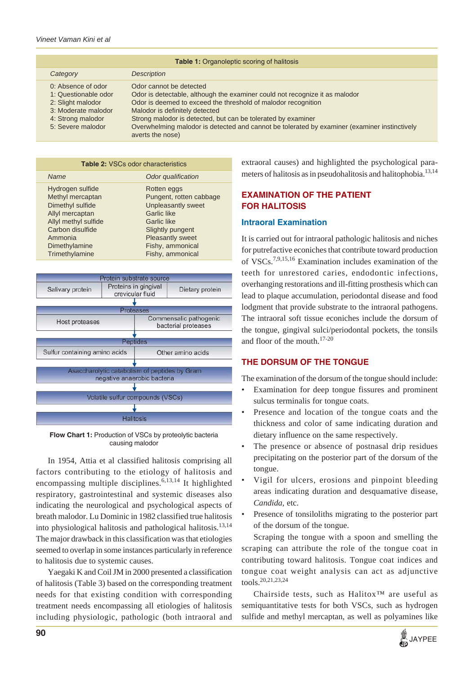| <b>Table 1: Organoleptic scoring of halitosis</b>                                                                                |                                                                                                                                                                                                                                                                                                                                                                                               |  |  |  |
|----------------------------------------------------------------------------------------------------------------------------------|-----------------------------------------------------------------------------------------------------------------------------------------------------------------------------------------------------------------------------------------------------------------------------------------------------------------------------------------------------------------------------------------------|--|--|--|
| Category                                                                                                                         | <b>Description</b>                                                                                                                                                                                                                                                                                                                                                                            |  |  |  |
| 0: Absence of odor<br>1: Questionable odor<br>2: Slight malodor<br>3: Moderate malodor<br>4: Strong malodor<br>5: Severe malodor | Odor cannot be detected<br>Odor is detectable, although the examiner could not recognize it as malodor<br>Odor is deemed to exceed the threshold of malodor recognition<br>Malodor is definitely detected<br>Strong malodor is detected, but can be tolerated by examiner<br>Overwhelming malodor is detected and cannot be tolerated by examiner (examiner instinctively<br>averts the nose) |  |  |  |

| <b>Table 2: VSCs odor characteristics</b> |                         |  |  |  |
|-------------------------------------------|-------------------------|--|--|--|
| <b>Name</b>                               | Odor qualification      |  |  |  |
| Hydrogen sulfide                          | Rotten eggs             |  |  |  |
| Methyl mercaptan                          | Pungent, rotten cabbage |  |  |  |
| Dimethyl sulfide                          | Unpleasantly sweet      |  |  |  |
| Allyl mercaptan                           | Garlic like             |  |  |  |
| Allyl methyl sulfide                      | Garlic like             |  |  |  |
| Carbon disulfide                          | <b>Slightly pungent</b> |  |  |  |
| Ammonia                                   | <b>Pleasantly sweet</b> |  |  |  |
| Dimethylamine                             | Fishy, ammonical        |  |  |  |
| Trimethylamine                            | Fishy, ammonical        |  |  |  |



**Flow Chart 1:** Production of VSCs by proteolytic bacteria causing malodor

In 1954, Attia et al classified halitosis comprising all factors contributing to the etiology of halitosis and encompassing multiple disciplines.<sup>6,13,14</sup> It highlighted respiratory, gastrointestinal and systemic diseases also indicating the neurological and psychological aspects of breath malodor. Lu Dominic in 1982 classified true halitosis into physiological halitosis and pathological halitosis.<sup>13,14</sup> The major drawback in this classification was that etiologies seemed to overlap in some instances particularly in reference to halitosis due to systemic causes.

Yaegaki K and Coil JM in 2000 presented a classification of halitosis (Table 3) based on the corresponding treatment needs for that existing condition with corresponding treatment needs encompassing all etiologies of halitosis including physiologic, pathologic (both intraoral and

extraoral causes) and highlighted the psychological parameters of halitosis as in pseudohalitosis and halitophobia.<sup>13,14</sup>

# **EXAMINATION OF THE PATIENT FOR HALITOSIS**

## **Intraoral Examination**

It is carried out for intraoral pathologic halitosis and niches for putrefactive econiches that contribute toward production of VSCs.7,9,15,16 Examination includes examination of the teeth for unrestored caries, endodontic infections, overhanging restorations and ill-fitting prosthesis which can lead to plaque accumulation, periodontal disease and food lodgment that provide substrate to the intraoral pathogens. The intraoral soft tissue econiches include the dorsum of the tongue, gingival sulci/periodontal pockets, the tonsils and floor of the mouth.17-20

# **THE DORSUM OF THE TONGUE**

The examination of the dorsum of the tongue should include:

- Examination for deep tongue fissures and prominent sulcus terminalis for tongue coats.
- Presence and location of the tongue coats and the thickness and color of same indicating duration and dietary influence on the same respectively.
- The presence or absence of postnasal drip residues precipitating on the posterior part of the dorsum of the tongue.
- Vigil for ulcers, erosions and pinpoint bleeding areas indicating duration and desquamative disease, *Candida*, etc.
- Presence of tonsiloliths migrating to the posterior part of the dorsum of the tongue.

Scraping the tongue with a spoon and smelling the scraping can attribute the role of the tongue coat in contributing toward halitosis. Tongue coat indices and tongue coat weight analysis can act as adjunctive tools.20,21,23,24

Chairside tests, such as Halitox™ are useful as semiquantitative tests for both VSCs, such as hydrogen sulfide and methyl mercaptan, as well as polyamines like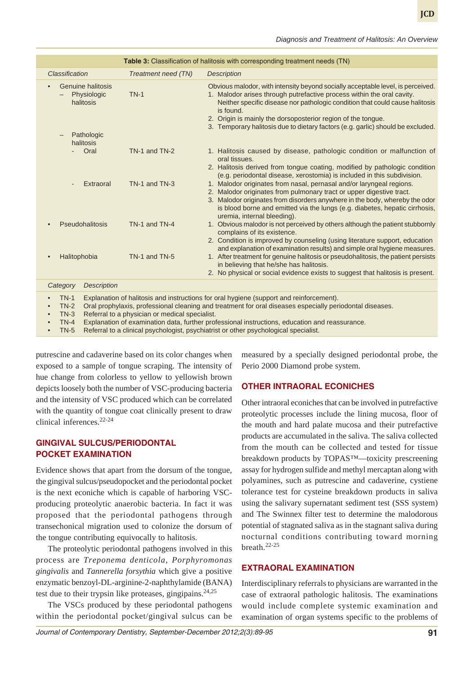|                                                      |                     | Table 3: Classification of halitosis with corresponding treatment needs (TN)                                                                                                                                                                                                                                                                                                                              |
|------------------------------------------------------|---------------------|-----------------------------------------------------------------------------------------------------------------------------------------------------------------------------------------------------------------------------------------------------------------------------------------------------------------------------------------------------------------------------------------------------------|
| <b>Classification</b>                                | Treatment need (TN) | <b>Description</b>                                                                                                                                                                                                                                                                                                                                                                                        |
| <b>Genuine halitosis</b><br>Physiologic<br>halitosis | $TN-1$              | Obvious malodor, with intensity beyond socially acceptable level, is perceived.<br>1. Malodor arises through putrefactive process within the oral cavity.<br>Neither specific disease nor pathologic condition that could cause halitosis<br>is found.<br>2. Origin is mainly the dorsoposterior region of the tongue.<br>3. Temporary halitosis due to dietary factors (e.g. garlic) should be excluded. |
| Pathologic<br>halitosis                              |                     |                                                                                                                                                                                                                                                                                                                                                                                                           |
| Oral                                                 | TN-1 and TN-2       | 1. Halitosis caused by disease, pathologic condition or malfunction of<br>oral tissues.                                                                                                                                                                                                                                                                                                                   |
|                                                      |                     | 2. Halitosis derived from tongue coating, modified by pathologic condition<br>(e.g. periodontal disease, xerostomia) is included in this subdivision.                                                                                                                                                                                                                                                     |
| Extraoral<br>$\overline{\phantom{0}}$                | TN-1 and TN-3       | 1. Malodor originates from nasal, pernasal and/or laryngeal regions.<br>2. Malodor originates from pulmonary tract or upper digestive tract.<br>3. Malodor originates from disorders anywhere in the body, whereby the odor<br>is blood borne and emitted via the lungs (e.g. diabetes, hepatic cirrhosis,<br>uremia, internal bleeding).                                                                 |
| Pseudohalitosis                                      | TN-1 and TN-4       | 1. Obvious malodor is not perceived by others although the patient stubbornly<br>complains of its existence.<br>2. Condition is improved by counseling (using literature support, education                                                                                                                                                                                                               |
| Halitophobia                                         | TN-1 and TN-5       | and explanation of examination results) and simple oral hygiene measures.<br>1. After treatment for genuine halitosis or pseudohalitosis, the patient persists<br>in believing that he/she has halitosis.<br>2. No physical or social evidence exists to suggest that halitosis is present.                                                                                                               |
| <b>Description</b><br>Category                       |                     |                                                                                                                                                                                                                                                                                                                                                                                                           |
| $TN-1$                                               |                     | Explanation of halitosis and instructions for oral hygiene (support and reinforcement).<br>$T_{\text{N}}$ $\alpha$ and prophyloxic professional electing and tractment for arc diseases consoially periodental diseases                                                                                                                                                                                   |

Jral prophylaxis, professional cleaning and treatment for oral diseases especially periodontal disease

• TN-3 Referral to a physician or medical specialist.

• TN-4 Explanation of examination data, further professional instructions, education and reassurance.

• TN-5 Referral to a clinical psychologist, psychiatrist or other psychological specialist.

putrescine and cadaverine based on its color changes when exposed to a sample of tongue scraping. The intensity of hue change from colorless to yellow to yellowish brown depicts loosely both the number of VSC-producing bacteria and the intensity of VSC produced which can be correlated with the quantity of tongue coat clinically present to draw clinical inferences.22-24

## **GINGIVAL SULCUS/PERIODONTAL POCKET EXAMINATION**

Evidence shows that apart from the dorsum of the tongue, the gingival sulcus/pseudopocket and the periodontal pocket is the next econiche which is capable of harboring VSCproducing proteolytic anaerobic bacteria. In fact it was proposed that the periodontal pathogens through transechonical migration used to colonize the dorsum of the tongue contributing equivocally to halitosis.

The proteolytic periodontal pathogens involved in this process are *Treponema denticola*, *Porphyromonas gingivalis* and *Tannerella forsythia* which give a positive enzymatic benzoyl-DL-arginine-2-naphthylamide (BANA) test due to their trypsin like proteases, gingipains. $24.25$ 

The VSCs produced by these periodontal pathogens within the periodontal pocket/gingival sulcus can be measured by a specially designed periodontal probe, the Perio 2000 Diamond probe system.

## **OTHER INTRAORAL ECONICHES**

Other intraoral econiches that can be involved in putrefactive proteolytic processes include the lining mucosa, floor of the mouth and hard palate mucosa and their putrefactive products are accumulated in the saliva. The saliva collected from the mouth can be collected and tested for tissue breakdown products by TOPAS™—toxicity prescreening assay for hydrogen sulfide and methyl mercaptan along with polyamines, such as putrescine and cadaverine, cystiene tolerance test for cysteine breakdown products in saliva using the salivary supernatant sediment test (SSS system) and The Swinnex filter test to determine the malodorous potential of stagnated saliva as in the stagnant saliva during nocturnal conditions contributing toward morning breath.22-25

#### **EXTRAORAL EXAMINATION**

Interdisciplinary referrals to physicians are warranted in the case of extraoral pathologic halitosis. The examinations would include complete systemic examination and examination of organ systems specific to the problems of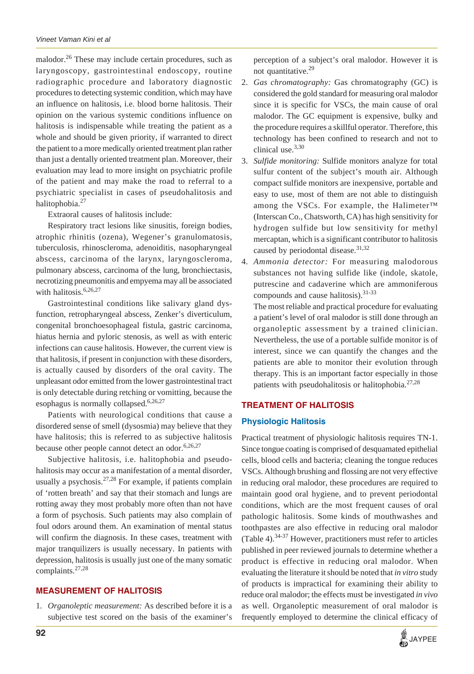malodor.<sup>26</sup> These may include certain procedures, such as laryngoscopy, gastrointestinal endoscopy, routine radiographic procedure and laboratory diagnostic procedures to detecting systemic condition, which may have an influence on halitosis, i.e. blood borne halitosis. Their opinion on the various systemic conditions influence on halitosis is indispensable while treating the patient as a whole and should be given priority, if warranted to direct the patient to a more medically oriented treatment plan rather than just a dentally oriented treatment plan. Moreover, their evaluation may lead to more insight on psychiatric profile of the patient and may make the road to referral to a psychiatric specialist in cases of pseudohalitosis and halitophobia.<sup>27</sup>

Extraoral causes of halitosis include:

Respiratory tract lesions like sinusitis, foreign bodies, atrophic rhinitis (ozena), Wegener's granulomatosis, tuberculosis, rhinoscleroma, adenoiditis, nasopharyngeal abscess, carcinoma of the larynx, laryngoscleroma, pulmonary abscess, carcinoma of the lung, bronchiectasis, necrotizing pneumonitis and empyema may all be associated with halitosis.<sup>6,26,27</sup>

Gastrointestinal conditions like salivary gland dysfunction, retropharyngeal abscess, Zenker's diverticulum, congenital bronchoesophageal fistula, gastric carcinoma, hiatus hernia and pyloric stenosis, as well as with enteric infections can cause halitosis. However, the current view is that halitosis, if present in conjunction with these disorders, is actually caused by disorders of the oral cavity. The unpleasant odor emitted from the lower gastrointestinal tract is only detectable during retching or vomitting, because the esophagus is normally collapsed.<sup>6,26,27</sup>

Patients with neurological conditions that cause a disordered sense of smell (dysosmia) may believe that they have halitosis; this is referred to as subjective halitosis because other people cannot detect an odor.<sup>6,26,27</sup>

Subjective halitosis, i.e. halitophobia and pseudohalitosis may occur as a manifestation of a mental disorder, usually a psychosis.<sup>27,28</sup> For example, if patients complain of 'rotten breath' and say that their stomach and lungs are rotting away they most probably more often than not have a form of psychosis. Such patients may also complain of foul odors around them. An examination of mental status will confirm the diagnosis. In these cases, treatment with major tranquilizers is usually necessary. In patients with depression, halitosis is usually just one of the many somatic complaints.27,28

#### **MEASUREMENT OF HALITOSIS**

1. *Organoleptic measurement:* As described before it is a subjective test scored on the basis of the examiner's

perception of a subject's oral malodor. However it is not quantitative.<sup>29</sup>

- 2. *Gas chromatography:* Gas chromatography (GC) is considered the gold standard for measuring oral malodor since it is specific for VSCs, the main cause of oral malodor. The GC equipment is expensive, bulky and the procedure requires a skillful operator. Therefore, this technology has been confined to research and not to clinical use.3,30
- 3. *Sulfide monitoring:* Sulfide monitors analyze for total sulfur content of the subject's mouth air. Although compact sulfide monitors are inexpensive, portable and easy to use, most of them are not able to distinguish among the VSCs. For example, the Halimeter™ (Interscan Co., Chatsworth, CA) has high sensitivity for hydrogen sulfide but low sensitivity for methyl mercaptan, which is a significant contributor to halitosis caused by periodontal disease.<sup>31,32</sup>
- 4. *Ammonia detector:* For measuring malodorous substances not having sulfide like (indole, skatole, putrescine and cadaverine which are ammoniferous compounds and cause halitosis).<sup>31-33</sup>

The most reliable and practical procedure for evaluating a patient's level of oral malodor is still done through an organoleptic assessment by a trained clinician. Nevertheless, the use of a portable sulfide monitor is of interest, since we can quantify the changes and the patients are able to monitor their evolution through therapy. This is an important factor especially in those patients with pseudohalitosis or halitophobia. $27,28$ 

#### **TREATMENT OF HALITOSIS**

#### **Physiologic Halitosis**

Practical treatment of physiologic halitosis requires TN-1. Since tongue coating is comprised of desquamated epithelial cells, blood cells and bacteria; cleaning the tongue reduces VSCs. Although brushing and flossing are not very effective in reducing oral malodor, these procedures are required to maintain good oral hygiene, and to prevent periodontal conditions, which are the most frequent causes of oral pathologic halitosis. Some kinds of mouthwashes and toothpastes are also effective in reducing oral malodor (Table 4).34-37 However, practitioners must refer to articles published in peer reviewed journals to determine whether a product is effective in reducing oral malodor. When evaluating the literature it should be noted that *in vitro* study of products is impractical for examining their ability to reduce oral malodor; the effects must be investigated *in vivo* as well. Organoleptic measurement of oral malodor is frequently employed to determine the clinical efficacy of

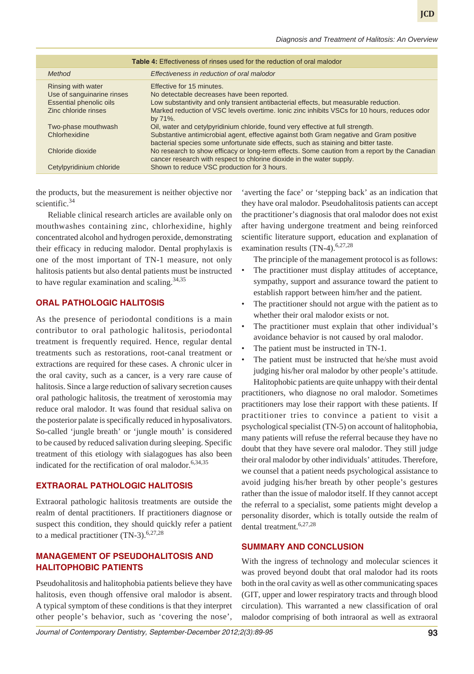| <b>Table 4:</b> Effectiveness of rinses used for the reduction of oral malodor                             |                                                                                                                                                                                                                                                                                  |  |
|------------------------------------------------------------------------------------------------------------|----------------------------------------------------------------------------------------------------------------------------------------------------------------------------------------------------------------------------------------------------------------------------------|--|
| Method                                                                                                     | Effectiveness in reduction of oral malodor                                                                                                                                                                                                                                       |  |
| Rinsing with water<br>Use of sanguinarine rinses<br><b>Essential phenolic oils</b><br>Zinc chloride rinses | Effective for 15 minutes.<br>No detectable decreases have been reported.<br>Low substantivity and only transient antibacterial effects, but measurable reduction.<br>Marked reduction of VSC levels overtime. Ionic zinc inhibits VSCs for 10 hours, reduces odor<br>by $71\%$ . |  |
| Two-phase mouthwash<br>Chlorhexidine                                                                       | Oil, water and cetylpyridinium chloride, found very effective at full strength.<br>Substantive antimicrobial agent, effective against both Gram negative and Gram positive<br>bacterial species some unfortunate side effects, such as staining and bitter taste.                |  |
| Chloride dioxide<br>Cetylpyridinium chloride                                                               | No research to show efficacy or long-term effects. Some caution from a report by the Canadian<br>cancer research with respect to chlorine dioxide in the water supply.<br>Shown to reduce VSC production for 3 hours.                                                            |  |

the products, but the measurement is neither objective nor scientific.<sup>34</sup>

Reliable clinical research articles are available only on mouthwashes containing zinc, chlorhexidine, highly concentrated alcohol and hydrogen peroxide, demonstrating their efficacy in reducing malodor. Dental prophylaxis is one of the most important of TN-1 measure, not only halitosis patients but also dental patients must be instructed to have regular examination and scaling.  $34,35$ 

#### **ORAL PATHOLOGIC HALITOSIS**

As the presence of periodontal conditions is a main contributor to oral pathologic halitosis, periodontal treatment is frequently required. Hence, regular dental treatments such as restorations, root-canal treatment or extractions are required for these cases. A chronic ulcer in the oral cavity, such as a cancer, is a very rare cause of halitosis. Since a large reduction of salivary secretion causes oral pathologic halitosis, the treatment of xerostomia may reduce oral malodor. It was found that residual saliva on the posterior palate is specifically reduced in hyposalivators. So-called 'jungle breath' or 'jungle mouth' is considered to be caused by reduced salivation during sleeping. Specific treatment of this etiology with sialagogues has also been indicated for the rectification of oral malodor. $6,34,35$ 

## **EXTRAORAL PATHOLOGIC HALITOSIS**

Extraoral pathologic halitosis treatments are outside the realm of dental practitioners. If practitioners diagnose or suspect this condition, they should quickly refer a patient to a medical practitioner  $(TN-3)$ .<sup>6,27,28</sup>

## **MANAGEMENT OF PSEUDOHALITOSIS AND HALITOPHOBIC PATIENTS**

Pseudohalitosis and halitophobia patients believe they have halitosis, even though offensive oral malodor is absent. A typical symptom of these conditions is that they interpret other people's behavior, such as 'covering the nose',

'averting the face' or 'stepping back' as an indication that they have oral malodor. Pseudohalitosis patients can accept the practitioner's diagnosis that oral malodor does not exist after having undergone treatment and being reinforced scientific literature support, education and explanation of examination results  $(TN-4)$ .<sup>6,27,28</sup>

The principle of the management protocol is as follows:

- The practitioner must display attitudes of acceptance, sympathy, support and assurance toward the patient to establish rapport between him/her and the patient.
- The practitioner should not argue with the patient as to whether their oral malodor exists or not.
- The practitioner must explain that other individual's avoidance behavior is not caused by oral malodor.
- The patient must be instructed in TN-1.
- The patient must be instructed that he/she must avoid judging his/her oral malodor by other people's attitude.

Halitophobic patients are quite unhappy with their dental practitioners, who diagnose no oral malodor. Sometimes practitioners may lose their rapport with these patients. If practitioner tries to convince a patient to visit a psychological specialist (TN-5) on account of halitophobia, many patients will refuse the referral because they have no doubt that they have severe oral malodor. They still judge their oral malodor by other individuals' attitudes. Therefore, we counsel that a patient needs psychological assistance to avoid judging his/her breath by other people's gestures rather than the issue of malodor itself. If they cannot accept the referral to a specialist, some patients might develop a personality disorder, which is totally outside the realm of dental treatment.6,27,28

## **SUMMARY AND CONCLUSION**

With the ingress of technology and molecular sciences it was proved beyond doubt that oral malodor had its roots both in the oral cavity as well as other communicating spaces (GIT, upper and lower respiratory tracts and through blood circulation). This warranted a new classification of oral malodor comprising of both intraoral as well as extraoral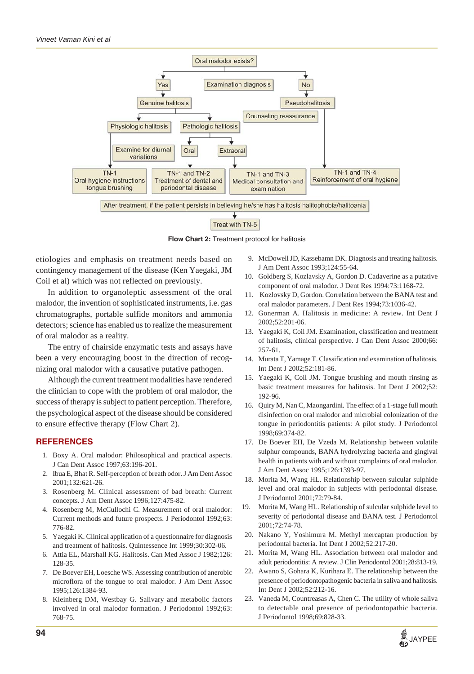

**Flow Chart 2:** Treatment protocol for halitosis

etiologies and emphasis on treatment needs based on contingency management of the disease (Ken Yaegaki, JM Coil et al) which was not reflected on previously.

In addition to organoleptic assessment of the oral malodor, the invention of sophisticated instruments, i.e. gas chromatographs, portable sulfide monitors and ammonia detectors; science has enabled us to realize the measurement of oral malodor as a reality.

The entry of chairside enzymatic tests and assays have been a very encouraging boost in the direction of recognizing oral malodor with a causative putative pathogen.

Although the current treatment modalities have rendered the clinician to cope with the problem of oral malodor, the success of therapy is subject to patient perception. Therefore, the psychological aspect of the disease should be considered to ensure effective therapy (Flow Chart 2).

## **REFERENCES**

- 1. Boxy A. Oral malodor: Philosophical and practical aspects. J Can Dent Assoc 1997;63:196-201.
- 2. Ibua E, Bhat R. Self-perception of breath odor. J Am Dent Assoc 2001;132:621-26.
- 3. Rosenberg M. Clinical assessment of bad breath: Current concepts. J Am Dent Assoc 1996;127:475-82.
- 4. Rosenberg M, McCullochi C. Measurement of oral malodor: Current methods and future prospects. J Periodontol 1992;63: 776-82.
- 5. Yaegaki K. Clinical application of a questionnaire for diagnosis and treatment of halitosis. Quintessence Int 1999;30:302-06.
- 6. Attia EL, Marshall KG. Halitosis. Can Med Assoc J 1982;126: 128-35.
- 7. De Boever EH, Loesche WS. Assessing contribution of anerobic microflora of the tongue to oral malodor. J Am Dent Assoc 1995;126:1384-93.
- 8. Kleinberg DM, Westbay G. Salivary and metabolic factors involved in oral malodor formation. J Periodontol 1992;63: 768-75.
- 9. McDowell JD, Kassebamn DK. Diagnosis and treating halitosis. J Am Dent Assoc 1993;124:55-64.
- 10. Goldberg S, Kozlavsky A, Gordon D. Cadaverine as a putative component of oral malodor. J Dent Res 1994:73:1168-72.
- 11. Kozlovsky D, Gordon. Correlation between the BANA test and oral malodor parameters. J Dent Res 1994;73:1036-42.
- 12. Gonerman A. Halitosis in medicine: A review. Int Dent J 2002;52:201-06.
- 13. Yaegaki K, Coil JM. Examination, classification and treatment of halitosis, clinical perspective. J Can Dent Assoc 2000;66: 257-61.
- 14. Murata T, Yamage T. Classification and examination of halitosis. Int Dent J 2002;52:181-86.
- 15. Yaegaki K, Coil JM. Tongue brushing and mouth rinsing as basic treatment measures for halitosis. Int Dent J 2002;52: 192-96.
- 16. Quiry M, Nan C, Maongardini. The effect of a 1-stage full mouth disinfection on oral malodor and microbial colonization of the tongue in periodontitis patients: A pilot study. J Periodontol 1998;69:374-82.
- 17. De Boever EH, De Vzeda M. Relationship between volatile sulphur compounds, BANA hydrolyzing bacteria and gingival health in patients with and without complaints of oral malodor. J Am Dent Assoc 1995;126:1393-97.
- 18. Morita M, Wang HL. Relationship between sulcular sulphide level and oral malodor in subjects with periodontal disease. J Periodontol 2001;72:79-84.
- 19. Morita M, Wang HL. Relationship of sulcular sulphide level to severity of periodontal disease and BANA test. J Periodontol 2001;72:74-78.
- 20. Nakano Y, Yoshimura M. Methyl mercaptan production by periodontal bacteria. Int Dent J 2002;52:217-20.
- 21. Morita M, Wang HL. Association between oral malodor and adult periodontitis: A review. J Clin Periodontol 2001;28:813-19.
- 22. Awano S, Gohara K, Kurihara E. The relationship between the presence of periodontopathogenic bacteria in saliva and halitosis. Int Dent J 2002;52:212-16.
- 23. Vaneda M, Countreasas A, Chen C. The utility of whole saliva to detectable oral presence of periodontopathic bacteria. J Periodontol 1998;69:828-33.